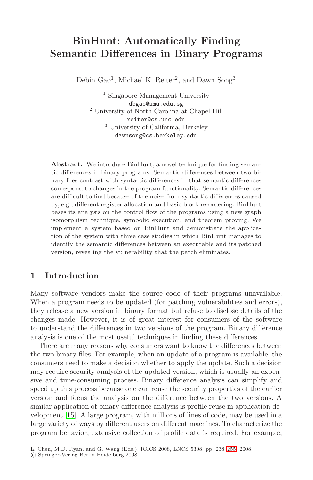# **BinHunt: Automatically Finding Semantic Differences in Binary Programs**

Debin Gao<sup>1</sup>, Michael K. Reiter<sup>2</sup>, and Dawn Song<sup>3</sup>

<sup>1</sup> Singapore Management University dbgao@smu.edu.sg <sup>2</sup> University of North Carolina at Chapel Hill reiter@cs.unc.edu <sup>3</sup> University of California, Berkeley dawnsong@cs.berkeley.edu

**Abstract.** We introduce BinHunt, a novel technique for finding semantic differences in binary programs. Semantic differences between two binary files contrast with syntactic differences in that semantic differences correspond to changes in the program functionality. Semantic differences are difficult to find because of the noise from syntactic differences caused by, e.g., different register allocation and basic block re-ordering. BinHunt bases its analysis on the control flow of the programs using a new graph isomorphism technique, symbolic execution, and theorem proving. We implement a system based on BinHunt and demonstrate the application of the system with three case studies in which BinHunt manages to identify the semantic differences between an executable and its patched version, revealing the vulnerability that the patch eliminates.

## **1 Introduction**

Many software vendors make the source code of their programs unavailable. When a program needs to be updated (for patching vulnerabilities and errors), they release a new version in binary format but refuse to disclose details of the changes made. However, it is of great interest for consumers of the software to understand the differences in two versions of the program. Binary difference analysis is one of the most useful techniques in finding these differences.

There are many reasons why consumers want to know the differences between the two binary files. For example, when an update of a program is available, the consumers need to make a decision whether to apply the update. Such a decision may require security analysis of the updated version, which is usually an expensive and time-consuming process. Binary [diff](#page-17-0)erence analysis can simplify and speed up this process because one can reuse the security properties of the earlier version and focus the analysis on the difference between the two versions. A similar application of binary difference analysis is profile reuse in application development [15]. A large program, with millions of lines of code, may be used in a large variety of ways by different users on different machines. To characterize the program behavior, extensive collection of profile data is required. For example,

L. Chen, M.D. Ryan, and G. Wang (Eds.): ICICS 2008, LNCS 5308, pp. 238–255, 2008.

<sup>-</sup>c Springer-Verlag Berlin Heidelberg 2008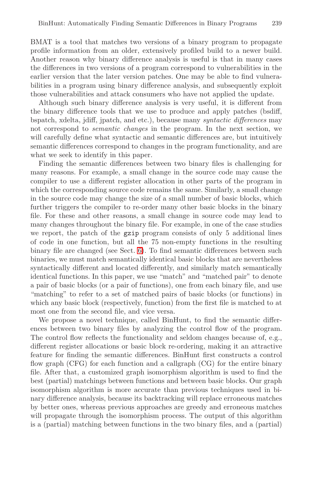BMAT is a tool that matches two versions of a binary program to propagate profile information from an older, extensively profiled build to a newer build. Another reason why binary difference analysis is useful is that in many cases the differences in two versions of a program correspond to vulnerabilities in the earlier version that the later version patches. One may be able to find vulnerabilities in a program using binary difference analysis, and subsequently exploit those vulnerabilities and attack consumers who have not applied the update.

Although such binary difference analysis is very useful, it is different from the binary difference tools that we use to produce and apply patches (bsdiff, bspatch, xdelta, jdiff, jpatch, and etc.), because many syntactic differences may not correspond to semantic changes in the program. In the next section, we will carefully define what syntactic and semantic differences are, but intuitively semantic differences correspond to changes in the program functionality, and are what we seek to identify in this paper.

Finding the semantic differences between two binary files is challenging for many reasons. For example, a small change in the source code may cause the compiler to us[e a](#page-10-0) different register allocation in other parts of the program in which the corresponding source code remains the same. Similarly, a small change in the source code may change the size of a small number of basic blocks, which further triggers the compiler to re-order many other basic blocks in the binary file. For these and other reasons, a small change in source code may lead to many changes throughout the binary file. For example, in one of the case studies we report, the patch of the gzip program consists of only 5 additional lines of code in one function, but all the 75 non-empty functions in the resulting binary file are changed (see Sect. 6). To find semantic differences between such binaries, we must match semantically identical basic blocks that are nevertheless syntactically different and located differently, and similarly match semantically identical functions. In this paper, we use "match" and "matched pair" to denote a pair of basic blocks (or a pair of functions), one from each binary file, and use "matching" to refer to a set of matched pairs of basic blocks (or functions) in which any basic block (respectively, function) from the first file is matched to at most one from the second file, and vice versa.

We propose a novel technique, called BinHunt, to find the semantic differences between two binary files by analyzing the control flow of the program. The control flow reflects the functionality and seldom changes because of, e.g., different register allocations or basic block re-ordering, making it an attractive feature for finding the semantic differences. BinHunt first constructs a control flow graph (CFG) for each function and a callgraph (CG) for the entire binary file. After that, a customized graph isomorphism algorithm is used to find the best (partial) matchings between functions and between basic blocks. Our graph isomorphism algorithm is more accurate than previous techniques used in binary difference analysis, because its backtracking will replace erroneous matches by better ones, whereas previous approaches are greedy and erroneous matches will propagate through the isomorphism process. The output of this algorithm is a (partial) matching between functions in the two binary files, and a (partial)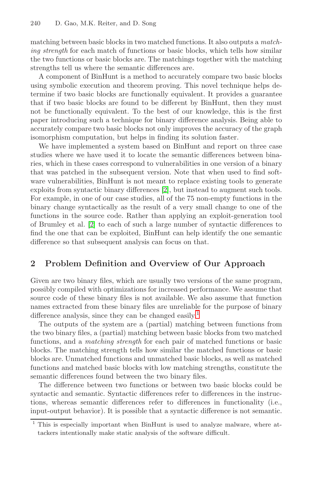#### 240 D. Gao, M.K. Reiter, and D. Song

matching between basic blocks in two matched functions. It also outputs a matching strength for each match of functions or basic blocks, which tells how similar the two functions or basic blocks are. The matchings together with the matching strengths tell us where the semantic differences are.

A component of BinHunt is a method to accurately compare two basic blocks using symbolic execution and theorem proving. This novel technique helps determine if two basic blocks are functionally equivalent. It provides a guarantee that if two basic blocks are found to be different by BinHunt, then they must not be functionally equivalent. To the best of our knowledge, this is the first paper introducing suc[h a](#page-17-1) technique for binary difference analysis. Being able to accurately compare two basic blocks not only improves the accuracy of the graph isomorphism computation, but helps in finding its solution faster.

We have implemented a system based on BinHunt and report on three case [st](#page-17-1)udies where we have used it to locate the semantic differences between binaries, which in these cases correspond to vulnerabilities in one version of a binary that was patched in the subsequent version. Note that when used to find software vulnerabilities, BinHunt is not meant to replace existing tools to generate exploits from syntactic binary differences [2], but instead to augment such tools. For example, in one of our case studies, all of the 75 non-empty functions in the binary change syntactically as the result of a very small change to one of the functions in the source code. Rather than applying an exploit-generation tool of Brumley et al. [2] to each of such a large number of syntactic differences to find the one that can be exploited, BinHunt can help identify the one semantic difference so that subsequent an[aly](#page-2-0)sis can focus on that.

# **2 Problem Definition and Overview of Our Approach**

Given are two binary files, which are usually two versions of the same program, possibly compiled with optimizations for increased performance. We assume that source code of these binary files is not available. We also assume that function names extracted from these binary files are unreliable for the purpose of binary difference analysis, since they can be changed easily.<sup>1</sup>

The outputs of the system are a (partial) matching between functions from the two binary files, a (partial) matching between basic blocks from two matched functions, and a *matching strength* for each pair of matched functions or basic blocks. The matching strength tells how similar the matched functions or basic blocks are. Unmatched functions and unmatched basic blocks, as well as matched functions and matched basic blocks with low matching strengths, constitute the semantic differences found between the two binary files.

<span id="page-2-0"></span>The difference between two functions or between two basic blocks could be syntactic and semantic. Syntactic differences refer to differences in the instructions, whereas semantic differences refer to differences in functionality (i.e., input-output behavior). It is possible that a syntactic difference is not semantic.

<sup>1</sup> This is especially important when BinHunt is used to analyze malware, where attackers intentionally make static analysis of the software difficult.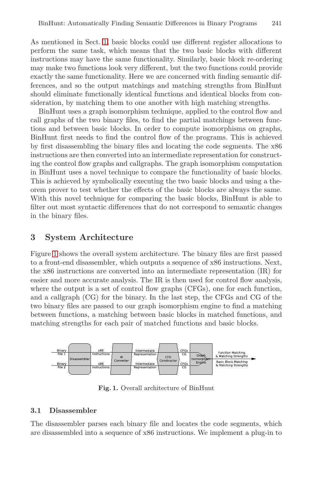As mentioned in Sect. 1, basic blocks could use different register allocations to perform the same task, which means that the two basic blocks with different instructions may have the same functionality. Similarly, basic block re-ordering may make two functions look very different, but the two functions could provide exactly the same functionality. Here we are concerned with finding semantic differences, and so the output matchings and matching strengths from BinHunt should eliminate functionally identical functions and identical blocks from consideration, by matching them to one another with high matching strengths.

BinHunt uses a graph isomorphism technique, applied to the control flow and call graphs of the two binary files, to find the partial matchings between functions and between basic blocks. In order to compute isomorphisms on graphs, BinHunt first needs to find the control flow of the programs. This is achieved by first disassembling the binary files and locating the code segments. The x86 instructions are then converted into an intermediate representation for constructing the control flow graphs and callgraphs. The graph isomorphism computation in BinHunt uses a novel technique to compare the functionality of basic blocks. This is achieved by symbolically executing the two basic blocks and using a theorem prover to test whether the effects of the basic blocks are always the same. With this novel technique for comparing the basic blocks, BinHunt is able to filter out most syntactic differences that do not correspond to semantic changes in the binary files.

## **3 System Architecture**

Figure 1 shows the overall system architecture. The binary files are first passed to a front-end disassembler, which outputs a sequence of x86 instructions. Next, the x86 instructions are converted into an intermediate representation (IR) for easier and more accurate analysis. The IR is then used for control flow analysis, where the output is a set of control flow graphs (CFGs), one for each function. and a callgraph (CG) for the binary. In the last step, the CFGs and CG of the two binary files are passed to our graph isomorphism engine to find a matching between functions, a matching between basic blocks in matched functions, and matching strengths for each pair of matched functions and basic blocks.



**Fig. 1.** Overall architecture of BinHunt

#### **3.1 Disassembler**

The disassembler parses each binary file and locates the code segments, which are disassembled into a sequence of x86 instructions. We implement a plug-in to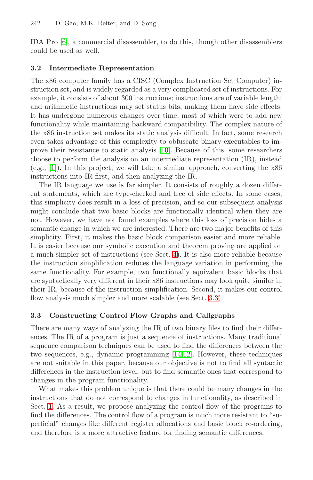IDA Pro [6], a commercial disassembler, to do this, though other disassemblers could be used as well.

#### **3.2 Intermediate Representation**

The x86 computer fa[mily](#page-17-2) has a CISC (Complex Instruction Set Computer) instruction set, and is widely regarded as a very complicated set of instructions. For example, it consists of about 300 instructions; instructions are of variable length; and arithmetic instructions may set status bits, making them have side effects. It has undergone numerous changes over time, most of which were to add new functionality while maintaining backward compatibility. The complex nature of the x86 instruction set makes its static analysis difficult. In fact, some research even takes advantage of this complexity to obfuscate binary executables to improve their resistance to static analysis [10]. Because of this, some researchers choose to perform the analysis on an intermediate representation (IR), instead (e.g., [1]). In this project, we will take a similar approach, converting the x86 instructions into IR first, and then analyzing the IR.

<span id="page-4-0"></span>The IR language we u[se](#page-6-0) is far simpler. It consists of roughly a dozen different statements, which are type-checked and free of side effects. In some cases, this simplicity does result in a loss of precision, and so our subsequent analysis might conclude that two basic blocks are functionally identical when they are not. However, we have not found examples where this loss of precision hides a semantic change in which we are inte[reste](#page-4-0)d. There are two major benefits of this simplicity. First, it makes the basic block comparison easier and more reliable. It is easier because our symbolic execution and theorem proving are applied on a much simpler set of instructions (see Sect. 4). It is also more reliable because the instruction simplification reduces the language variation in performing the same functionality. For example, two functionally equivalent basic blocks that are syntactically very different in their x86 instructions may look quite similar in their IR, because of the i[nstr](#page-17-3)[uct](#page-17-4)ion simplification. Second, it makes our control flow analysis much simpler and more scalable (see Sect. 3.3).

#### **3.3 Constructing Control Flow Graphs and Callgraphs**

There are many ways of analyzing the IR of two binary files to find their differences. The IR of a program is just a sequence of instructions. Many traditional sequence comparison techniques can be used to find the differences between the two sequences, e.g., dynamic programming [14,12]. However, these techniques are not suitable in this paper, because our objective is not to find all syntactic differences in the instruction level, but to find semantic ones that correspond to changes in the program functionality.

What makes this problem unique is that there could be many changes in the instructions that do not correspond to changes in functionality, as described in Sect. 1. As a result, we propose analyzing the control flow of the programs to find the differences. The control flow of a program is much more resistant to "superficial" changes like different register allocations and basic block re-ordering, and therefore is a more attractive feature for finding semantic differences.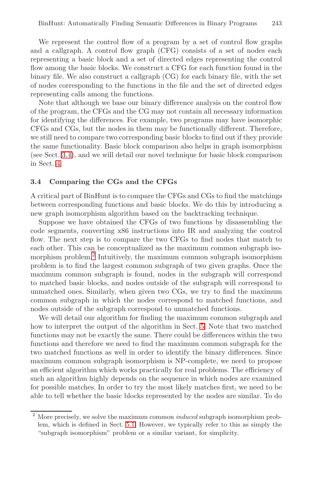We represent the control flow of a program by a set of control flow graphs and a callgraph. A control flow graph (CFG) consists of a set of nodes each representing a basic block and a set of directed edges representing the control flow among the basic blocks. We construct a CFG for each function found in the binary file. We also construct a callgraph (CG) for each binary file, with the set of nodes corresponding to the functions in the file and the set of directed edges representing calls among the functions.

<span id="page-5-1"></span>Note that although we base our binary difference analysis on the control flow of the program, the CFGs and the CG may not contain all necessary information for identifying the differences. For example, two programs may have isomorphic CFGs and CGs, but the nodes in them may be functionally different. Therefore, we still need to compare two corresponding basic blocks to find out if they provide the same functionality. Basic block comparison also helps in graph isomorphism (see Sect. 3.4), and we will detail our novel technique for basic block comparison in Sect. 4.

#### **[3.](#page-5-0)4 Comparing the CGs and the CFGs**

A critical part of BinHunt is to compare the CFGs and CGs to find the matchings between corresponding functions and basic blocks. We do this by introducing a new graph isomorphism algorithm based on the backtracking technique.

Suppose we have obtained the CFGs of two functions by disassembling the code segments, converting x86 instructions into IR and analyzing the control flow. The next step is to compare the two CFGs to find nodes that match to each other. This can be conceptualized as the maximum common subgraph isomorphism problem.<sup>2</sup> Intuitively, t[he](#page-7-0) maximum common subgraph isomorphism problem is to find the largest common subgraph of two given graphs. Once the maximum common subgraph is found, nodes in the subgraph will correspond to matched basic blocks, and nodes outside of the subgraph will correspond to unmatched ones. Similarly, when given two CGs, we try to find the maximum common subgraph in which the nodes correspond to matched functions, and nodes outside of the subgraph correspond to unmatched functions.

<span id="page-5-0"></span>We will detail our algorithm for finding the maximum common subgraph and how to interpret the output of the algorithm in Sect. 5. Note that two matched functions may not be exactly the same. There could be differences within the two functions and therefore we need to find the maximum common subgraph for the two matched functions as well in order to identify the binary differences. Since maximum [com](#page-8-0)mon subgraph isomorphism is NP-complete, we need to propose an efficient algorithm which works practically for real problems. The efficiency of such an algorithm highly depends on the sequence in which nodes are examined for possible matches. In order to try the most likely matches first, we need to be able to tell whether the basic blocks represented by the nodes are similar. To do

 $2$  More precisely, we solve the maximum common *induced* subgraph isomorphism problem, which is defined in Sect. 5.1. However, we typically refer to this as simply the "subgraph isomorphism" problem or a similar variant, for simplicity.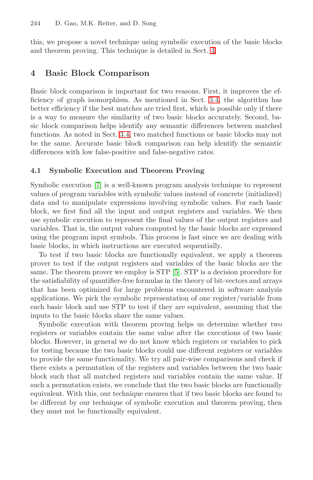<span id="page-6-0"></span>this, we propose a novel technique using symbolic execution of the basic blocks and theorem proving. This technique is detailed in Sect. 4.

## **4 Ba[sic](#page-5-1) Block Comparison**

<span id="page-6-1"></span>Basic block comparison is important for two reasons. First, it improves the efficiency of graph isomorphism. As mentioned in Sect. 3.4, the algorithm has better efficiency if the best matches are tried first, which is possible only if there i[s a](#page-17-5) way to measure the similarity of two basic blocks accurately. Second, basic block comparison helps identify any semantic differences between matched functions. As noted in Sect. 3.4, two matched functions or basic blocks may not be the same. Accurate basic block comparison can help identify the semantic differences with low false-positive and false-negative rates.

## **4.1 Symbolic Execution and Theorem Proving**

Symbolic execution [7] is a well-known program analysis technique to represent values of program variables with symbolic values instead of concrete (initialized) data and to manipulate e[xp](#page-17-6)ressions involving symbolic values. For each basic block, we first find all the input and output registers and variables. We then use symbolic execution to represent the final values of the output registers and variables. That is, the output values computed by the basic blocks are expressed using the program input symbols. This process is fast since we are dealing with basic blocks, in which instructions are executed sequentially.

To test if two basic blocks are functionally equivalent, we apply a theorem prover to test if the output registers and variables of the basic blocks are the same. The theorem prover we employ is STP [5]. STP is a decision procedure for the satisfiability of quantifier-free formulas in the theory of bit-vectors and arrays that has been optimized for large problems encountered in software analysis applications. We pick the symbolic representation of one register/variable from each basic block and use STP to test if they are equivalent, assuming that the inputs to the basic blocks share the same values.

Symbolic execution with theorem proving helps us determine whether two registers or variables contain the same value after the executions of two basic blocks. However, in general we do not know which registers or variables to pick for testing because the two basic blocks could use different registers or variables to provide the same functionality. We try all pair-wise comparisons and check if there exists a permutation of the registers and variables between the two basic block such that all matched registers and variables contain the same value. If such a permutation exists, we conclude that the two basic blocks are functionally equivalent. With this, our technique ensures that if two basic blocks are found to be different by our technique of symbolic execution and theorem proving, then they must not be functionally equivalent.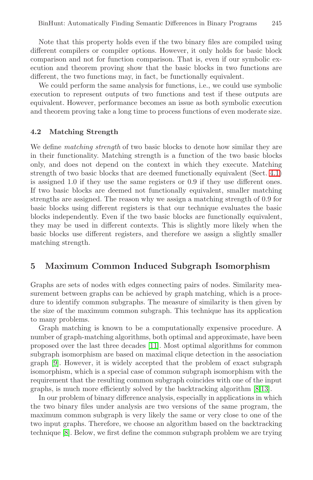<span id="page-7-1"></span>Note that this property holds even if the two binary files are compiled using different compilers or compiler options. However, it only holds for basic block comparison and not for function comparison. That is, even if our symbolic execution and theorem proving show that the basic blocks in two functions are different, the two functions may, in fact, be functionally equivalent.

We could perform the same analysis for functions, i.e., we could use symbolic execution to represent outputs of two functions and test if these outputs are equivalent. However, performance becomes an issue as b[oth](#page-6-1) symbolic execution and theorem proving take a long time to process functions of even moderate size.

#### **4.2 Matching Strength**

<span id="page-7-0"></span>We define *matching strength* of two basic blocks to denote how similar they are in their functionality. Matching strength is a function of the two basic blocks only, and does not depend on the context in which they execute. Matching strength of two basic blocks that are deemed functionally equivalent (Sect. 4.1) is assigned 1.0 if they use the same registers or 0.9 if they use different ones. If two basic blocks are deemed not functionally equivalent, smaller matching strengths are assigned. The reason why we assign a matching strength of 0.9 for basic blocks using different registers is that our technique evaluates the basic blocks independently. Even if the two basic blocks are functionally equivalent, they may be used in different contexts. This is slightly more likely when the basic blocks use different registers, and therefore we assign a slightly smaller matching strength.

## **5 Maximum Common Induced Subgraph Isomorphism**

Graphs are sets of nodes with edges connecting pairs of nodes. Similarity measurement between graphs can be achieved by graph matching, which is a procedure to identify common subgraphs. The measure of similarity is then given by the size of the maximum common subgraph. This technique has its application to many problems.

Graph matching is known to be a computation[all](#page-17-7)[y](#page-17-8) [e](#page-17-8)xpensive procedure. A number of graph-matching algorithms, both optimal and approximate, have been proposed over the last three decades [11]. Most optimal algorithms for common subgraph isomorphism are based on maximal clique detection in the association graph [9]. However, it is widely accepted that the problem of exact subgraph isomorphism, which is a special case of common subgraph isomorphism with the requirement that the resulting common subgraph coincides with one of the input graphs, is much more efficiently solved by the backtracking algorithm [8,13].

In our problem of binary difference analysis, especially in applications in which the two binary files under analysis are two versions of the same program, the maximum common subgraph is very likely the same or very close to one of the two input graphs. Therefore, we choose an algorithm based on the backtracking technique [8]. Below, we first define the common subgraph problem we are trying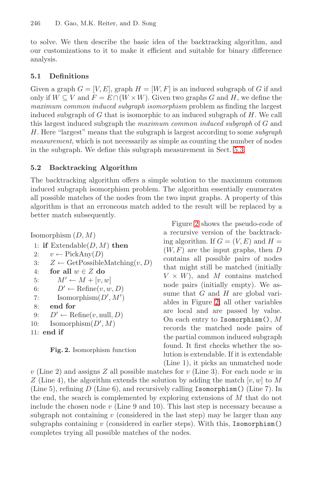<span id="page-8-0"></span>to solve. We then describe the basic idea of the backtracking algorithm, and our customizations to it to make it efficient and suitable for binary difference analysis.

#### **5.1 Definitions**

Given a graph  $G = [V, E]$ , graph  $H = [W, F]$  [is](#page-9-0) [an](#page-9-0) induced subgraph of G if and only if  $W \subseteq V$  and  $F = E \cap (W \times W)$ . Given two graphs G and H, we define the maximum common induced subgraph isomorphism problem as finding the largest induced subgraph of  $G$  that is isomorphic to an induced subgraph of  $H$ . We call this largest induced subgraph the maximum common induced subgraph of G and H. Here "largest" means that the subgraph is largest according to some subgraph measurement, which is not necessarily as simple as counting the number of nodes in the subgraph. We define this subgraph measurement in Sect. 5.3.

## **5.2 Backtracking Algorithm**

The backtracking algorithm offers a simple solution to the maximum common induced subgraph isomorphism problem. The algorithm essentially enumerates all possible matches of the nodes from the two input graphs. A property of this algorithm is that an erroneous match added to the result will be replaced by a better match subsequently.

```
Isomorphism (D, M)1: if Extendable(D, M) then
2: v \leftarrow \text{PickAny}(D)<br>3: Z \leftarrow \text{GetPossible}3: Z \leftarrow \text{GetPossibleMatching}(v, D)<br>4: for all w \in Z do
4: for all w \in Z do<br>5: M' \leftarrow M + [v, v]5: M' \leftarrow M + [v, w]<br>6: D' \leftarrow \text{Refine}(v, w)6: D' \leftarrow \text{Refine}(v, w, D)<br>7: Isomorphism(D', M')7: Isomorphism(D', M')8: end for
9: D' \leftarrow \text{Refine}(v, \text{null}, D)10: Isomorphism(D', M)11: end if
      Fig. 2. Isomorphism function
                                                   Figure 2 shows the pseudo-code of
                                                a recursive version of the backtrack-
                                                ing algorithm. If G = (V, E) and H =(W, F) are the input graphs, then D
                                                contains all possible pairs of nodes
                                                that might still be matched (initially
                                                V \times W, and M contains matched
                                                node pairs (initially empty). We as-
                                                sume that G and H are global vari-
                                                ables in Figure 2; all other variables
                                                are local and are passed by value.
                                                On each entry to Isomorphism(), M
                                                records the matched node pairs of
                                                the partial common induced subgraph
                                                found. It first checks whether the so-
                                                lution is extendable. If it is extendable
                                                (Line 1), it picks an unmatched node
```
v (Line 2) and assigns Z all possible matches for v (Line 3). For each node w in Z (Line 4), the algorithm extends the solution by adding the match  $[v, w]$  to M (Line 5), refining  $D$  (Line 6), and recursively calling  $Isomorphism()$  (Line 7). In the end, the search is complemented by exploring extensions of M that do not include the chosen node  $v$  (Line 9 and 10). This last step is necessary because a subgraph not containing  $v$  (considered in the last step) may be larger than any subgraphs containing  $v$  (considered in earlier steps). With this, Isomorphism() completes trying all possible matches of the nodes.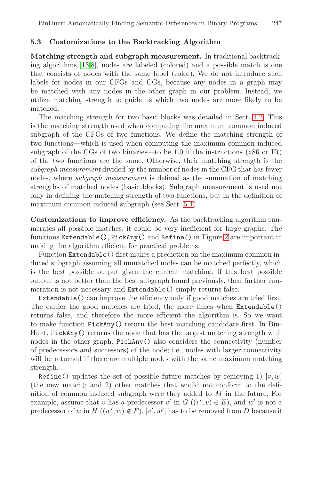#### <span id="page-9-1"></span><span id="page-9-0"></span>**5.3 Customizations to the Backtracking Algorithm**

**Matching strength and subgraph measurement.** In traditional backtracking algorithms [13,8], nodes are labeled (colored) and a possible match is one that consists of nodes with the same label (color). We do not introduce such labels for nodes in our CFGs and CGs, because any nodes in a graph may be matched with any nodes in the other graph in our problem. Instead, we utilize matching strength to guide us which two nodes are more likely to be matched.

The matching strength for two basic blocks was detailed in Sect. 4.2. This is the matching strength used when computing the maximum common induced subgraph of the CFGs of t[wo fu](#page-8-0)nctions. We define the matching strength of two functions—which is used when computing the maximum common induced subgraph of the CGs of two binaries—to be 1.0 if the instructions (x86 or IR) of the two functions are the same. Otherwise, their matching strength is the subgraph measurement divided by the num[be](#page-8-1)r of nodes in the CFG that has fewer nodes, where subgraph measurement is defined as the summation of matching strengths of matched nodes (basic blocks). Subgraph measurement is used not only in defining the matching strength of two functions, but in the definition of maximum common induced subgraph (see Sect. 5.1).

**Customizations to improve efficiency.** As the backtracking algorithm enumerates all possible matches, it could be very inefficient for large graphs. The functions Extendable(), PickAny() and Refine() in Figure 2 are important in making the algorithm efficient for practical problems.

Function Extendable() first makes a prediction on the maximum common induced subgraph assuming all unmatched nodes can be matched perfectly, which is the best possible output given the current matching. If this best possible output is not better than the best subgraph found previously, then further enumeration is not necessary and Extendable() simply returns false.

Extendable() can improve the efficiency only if good matches are tried first. The earlier the good matches are tried, the more times when Extendable() returns false, and therefore the more efficient the algorithm is. So we want to make function PickAny() return the best matching candidate first. In Bin-Hunt, PickAny() returns the node that has the largest matching strength with nodes in the other graph. PickAny() also considers the connectivity (number of predecessors and successors) of the node; i.e., nodes with larger connectivity will be returned if there are multiple nodes with the same maximum matching strength.

Refine() updates the set of possible future matches by removing 1)  $[v, w]$ (the new match); and 2) other matches that would not conform to the definition of common induced subgraph were they added to  $M$  in the future. For example, assume that v has a predecessor v' in  $G((v', v) \in E)$ , and w' is not a predecessor of w in  $H((w', w) \notin F)$ .  $[v', w']$  has to be removed from D because if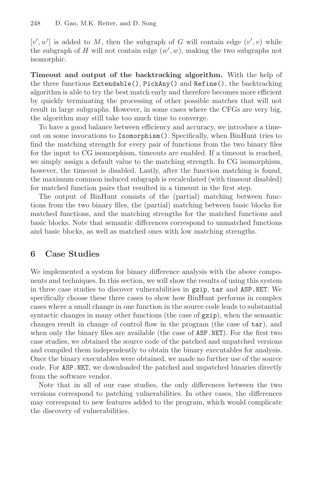$[v', w']$  is added to M, then the subgraph of G will contain edge  $(v', v)$  while the subgraph of H will not contain edge  $(w', w)$ , making the two subgraphs not isomorphic.

**Timeout and output of the backtracking algorithm.** With the help of the three functions Extendable(), PickAny() and Refine(), the backtracking algorithm is able to try the best match early and therefore becomes more efficient by quickly terminating the processing of other possible matches that will not result in large subgraphs. However, in some cases where the CFGs are very big, the algorithm may still take too much time to converge.

To have a good balance between efficiency and accuracy, we introduce a timeout on some invocations to Isomorphism(). Specifically, when BinHunt tries to find the matching strength for every pair of functions from the two binary files for the input to CG isomorphism, timeouts are enabled. If a timeout is reached, we simply assign a default value to the matching strength. In CG isomorphism, however, the timeout is disabled. Lastly, after the function matching is found, the maximum common induced subgraph is recalculated (with timeout disabled) for matched function pairs that resulted in a timeout in the first step.

The output of BinHunt consists of the (partial) matching between functions from the two binary files, the (partial) matching between basic blocks for matched functions, and the matching strengths for the matched functions and basic blocks. Note that semantic differences correspond to unmatched functions and basic blocks, as well as matched ones with low matching strengths.

## <span id="page-10-0"></span>**6 Case Studies**

We implemented a system for binary difference analysis with the above components and techniques. In this section, we will show the results of using this system in three case studies to discover vulnerabilities in gzip, tar and ASP.NET. We specifically choose these three cases to show how BinHunt performs in complex cases where a small change in one function in the source code leads to substantial syntactic changes in many other functions (the case of gzip), when the semantic changes result in change of control flow in the program (the case of tar), and when only the binary files are available (the case of ASP.NET). For the first two case studies, we obtained the source code of the patched and unpatched versions and compiled them independently to obtain the binary executables for analysis. Once the binary executables were obtained, we made no further use of the source code. For ASP.NET, we downloaded the patched and unpatched binaries directly from the software vendor.

Note that in all of our case studies, the only differences between the two versions correspond to patching vulnerabilities. In other cases, the differences may correspond to new features added to the program, which would complicate the discovery of vulnerabilities.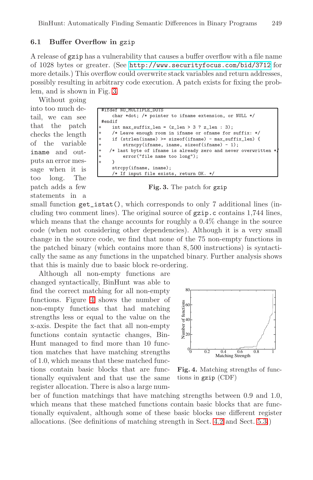## **6.1 Buffer Overflow in** gzip

A release of gzip has a vulnerability that causes a buffer overflow with a file name of 1028 bytes or greater. (See http://www.securityfocus.com/bid/3712 for more details.) This overflow could overwrite stack variables and return addresses, possibly resulting in arbitrary code execution. A patch exists for fixing the problem, and is shown in Fig. 3.

Without going into too much detail, we can see that the patch checks the length of the variable iname and outputs an error message when it is too long. The patch adds a few statements in a

<span id="page-11-0"></span>

**Fig. 3.** The patch for gzip

small function  $get\_istat()$ , which corresponds to only 7 additional lines (including two comment lines). The original source of gzip.c contains 1,744 lines, which means that the change accounts for roughly a 0.4% change in the source [co](#page-11-1)de (when not considering other dependencies). Although it is a very small change in the source code, we find that none of the 75 non-empty functions in the patched binary (which contains more than 8, 500 instructions) is syntactically the same as any functions in the unpatched binary. Further analysis shows that this is mainly due to basic block re-ordering.

Although all non-empty functions are changed syntactically, BinHunt was able to find the correct matching for all non-empty functions. Figure 4 shows the number of non-empty functions that had matching strengths less or equal to the value on the x-axis. Despite the fact that all non-empty functions contain syntactic changes, Bin-Hunt managed to find more than 10 function matches that have matching stre[ngth](#page-7-1)s of 1.0, which means that these matched functions contain basic blocks that are functionally equivalent and that use the same register allocation. There is also a large num-

<span id="page-11-1"></span>

**Fig. 4.** Matching strengths of functions in gzip (CDF)

ber of function matchings that have matching strengths between 0.9 and 1.0, which means that these matched functions contain basic blocks that are functionally equivalent, although some of these basic blocks use different register allocations. (See definitions of matching strength in Sect. 4.2 and Sect. 5.3.)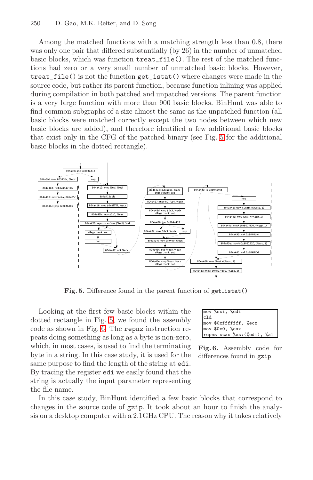#### 250 D. Gao, M.K. Reiter, and D. Song

Among the matched functions with a matching strength less than 0.8, there was only one pair that differed substantially (by 26) in the number of unmatched basic blocks, which was function treat\_file(). The rest of the matched functions had zero or a very small number [o](#page-12-0)f unmatched basic blocks. However, treat\_file() is not the function get\_istat() where changes were made in the source code, but rather its parent function, because function inlining was applied during compilation in both patched and unpatched versions. The parent function is a very large function with more than 900 basic blocks. BinHunt was able to find common subgraphs of a size almost the same as the unpatched function (all basic blocks were matched correctly except the two nodes between which new basic blocks are added), and therefore identified a few additional basic blocks that exist only in the CFG of the patched binary (see Fig. 5 for the additional basic blocks in the dotted rectangle).



**Fig. 5.** Difference found in the parent function of get istat()

Looking at the first few basic blocks within the dotted rectangle in Fig. 5, we found the assembly code as shown in Fig. 6. The repnz instruction repeats doing something as long as a byte is non-zero, which, in most cases, is used to find the terminating byte in a string. In this case study, it is used for the same purpose to find the length of the string at edi. By tracing the register edi we easily found that the string is actually the input parameter representing the file name.

<span id="page-12-0"></span>

|     | mov %esi, %edi              |  |
|-----|-----------------------------|--|
| cld |                             |  |
|     | mov \$0xfffffff, %ecx       |  |
|     | mov \$0x0, %eax             |  |
|     | repnz scas %es: (%edi), %al |  |

**Fig. 6.** Assembly code for differences found in gzip

In this case study, BinHunt identified a few basic blocks that correspond to changes in the source code of gzip. It took about an hour to finish the analysis on a desktop computer with a 2.1GHz CPU. The reason why it takes relatively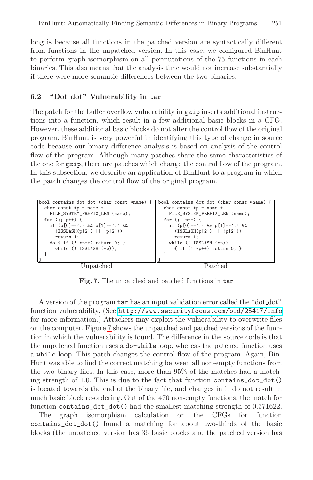long is because all functions in the patched version are syntactically different from functions in the unpatched version. In this case, we configured BinHunt to perform graph isomorphism on all permutations of the 75 functions in each binaries. This also means that the analysis time would not increase substantially if there were more semantic differences between the two binaries.

## **6.2 "Dot dot" Vulnerability in** tar

The patch for the buffer overflow vulnerability in gzip inserts additional instructions into a function, which result in a few additional basic blocks in a CFG. However, these additional basic blocks do not alter the control flow of the original program. BinHunt is very powerful in identifying this type of change in source code because our binary difference analysis is based on analysis of the control flow of the program. Although many patches share the same characteristics of the one for gzip, there are patches which change the control flow of the program. In this subsection, we describe an application of BinHunt to a program in which the patch changes the control flow of the original program.



**Fig. 7.** The unpatched and patched functions in tar

A version of the program tar has an input validation error called the "dot dot" function vulnerability. (See http://www.securityfocus.com/bid/25417/info for more information.) Attackers may exploit the vulnerability to overwrite files on the computer. Figure 7 shows the unpatched and patched versions of the function in which the vulnerability is found. The difference in the source code is that the unpatched function uses a do-while loop, whereas the patched function uses a while loop. This patch changes the control flow of the program. Again, Bin-Hunt was able to find the correct matching between all non-empty functions from the two binary files. In this case, more than 95% of the matches had a matching strength of 1.0. This is due to the fact that function contains\_dot\_dot() is located towards the end of the binary file, and changes in it do not result in much basic block re-ordering. Out of the 470 non-empty functions, the match for function contains\_dot\_dot() had the smallest matching strength of 0.571622.

The graph isomorphism calculation on the CFGs for function contains\_dot\_dot() found a matching for about two-thirds of the basic blocks (the unpatched version has 36 basic blocks and the patched version has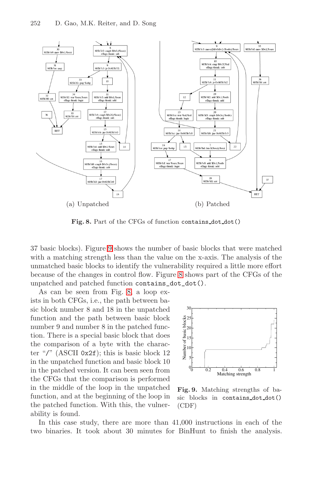#### 252 D. Gao, M.K. Reiter, and D. Song



<span id="page-14-0"></span>[F](#page-14-0)ig. 8. Part of the CFGs of function contains\_dot\_dot()

37 basic blocks). Figure 9 shows the number of basic blocks that were matched with a matching strength less than the value on the x-axis. The analysis of the unmatched basic blocks to identify the vulnerability required a little more effort because of the changes in control flow. Figure 8 shows part of the CFGs of the unpatched and patched function contains\_dot\_dot().

As can be seen from Fig. 8, a loop exists in both CFGs, i.e., the path between basic block number 8 and 18 in the unpatched function and the path between basic block number 9 and number 8 in the patched function. There is a special basic block that does the comparison of a byte with the character "/" (ASCII 0x2f); this is basic block 12 in the unpatched function and basic block 10 in the patched version. It can been seen from the CFGs that the comparison is performed in the middle of the loop in the unpatched function, and at the beginning of the loop in the patched function. With this, the vulnerability is found.



**Fig. 9.** Matching strengths of basic blocks in contains dot dot() (CDF)

In this case study, there are more than 41,000 instructions in each of the two binaries. It took about 30 minutes for BinHunt to finish the analysis.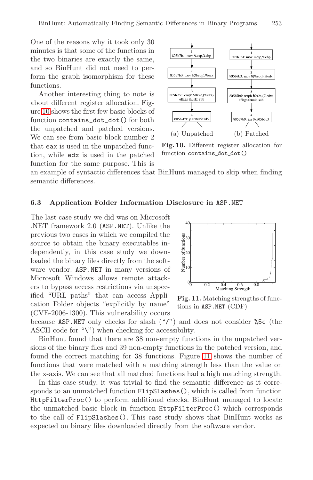One of the reasons why it took only 30 minutes is that some of the functions in the two binaries are exactly the same, and so BinHunt did not need to perform the graph isomorphism for these functions.

Another interesting thing to note is about different register allocation. Figure 10 shows the first few basic blocks of function contains\_dot\_dot() for both the unpatched and patched versions. We can see from basic block number 2 that eax is used in the unpatched function, while edx is used in the patched function for the same purpose. This is



**Fig. 10.** Different register allocation for function contains dot dot()

an example of syntactic differences that BinHunt managed to skip when finding semantic differences.

#### **6.3 Application Folder Information Disclosure in** ASP.NET

The last case study we did was on Microsoft .NET framework 2.0 (ASP.NET). Unlike the previous two cases in which we compiled the source to obtain the binary executables independently, in this case study we downloaded the binary files directly from the software vendor. ASP.NET in many versions of Microsoft Windows allows remote attackers to bypass access restrictions vi[a un](#page-15-0)specified "URL paths" that can access Application Folder objects "explicitly by name" (CVE-2006-1300). This vulnerability occurs

<span id="page-15-0"></span>

**Fig. 11.** Matching strengths of functions in ASP.NET (CDF)

because ASP.NET only checks for slash ("/") and does not consider %5c (the ASCII code for "\") when checking for accessibility.

BinHunt found that there are 38 non-empty functions in the unpatched versions of the binary files and 39 non-empty functions in the patched version, and found the correct matching for 38 functions. Figure 11 shows the number of functions that were matched with a matching strength less than the value on the x-axis. We can see that all matched functions had a high matching strength.

In this case study, it was trivial to find the semantic difference as it corresponds to an unmatched function FlipSlashes(), which is called from function HttpFilterProc() to perform additional checks. BinHunt managed to locate the unmatched basic block in function HttpFilterProc() which corresponds to the call of FlipSlashes(). This case study shows that BinHunt works as expected on binary files downloaded directly from the software vendor.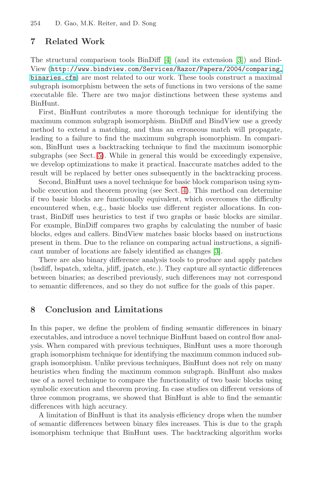# **7 Related Work**

The structural comparison tools BinDiff [4] (and its extension [3]) and Bind-View (http://www.bindview.com/Services/Razor/Papers/2004/comparing binaries.cfm) are most related to our work. These tools construct a maximal su[bg](#page-7-0)raph isomorphism between the sets of functions in two versions of the same executable file. There are two major distinctions between these systems and BinHunt.

First, BinHunt contributes a more thorough technique for identifying the maximum common subgrap[h is](#page-6-0)omorphism. BinDiff and BindView use a greedy method to extend a matching, and thus an erroneous match will propagate, leading to a failure to find the maximum subgraph isomorphism. In comparison, BinHunt uses a backtracking technique to find the maximum isomorphic subgraphs (see Sect. 5). While in general this would be exceedingly expensive, we develop optimizations to make it practical. Inaccurate matches added to the result will be replaced by better ones subsequently in the backtracking process.

Second, BinHunt uses a novel techni[que](#page-17-9) for basic block comparison using symbolic execution and theorem proving (see Sect. 4). This method can determine if two basic blocks are functionally equivalent, which overcomes the difficulty encountered when, e.g., basic blocks use different register allocations. In contrast, BinDiff uses heuristics to test if two graphs or basic blocks are similar. For example, BinDiff compares two graphs by calculating the number of basic blocks, edges and callers. BindView matches basic blocks based on instructions present in them. Due to the reliance on comparing actual instructions, a significant number of locations are falsely identified as changes [3].

There are also binary difference analysis tools to produce and apply patches (bsdiff, bspatch, xdelta, jdiff, jpatch, etc.). They capture all syntactic differences between binaries; as described previously, such differences may not correspond to semantic differences, and so they do not suffice for the goals of this paper.

## **8 Conclusion and Limitations**

In this paper, we define the problem of finding semantic differences in binary executables, and introduce a novel technique BinHunt based on control flow analysis. When compared with previous techniques, BinHunt uses a more thorough graph isomorphism technique for identifying the maximum common induced subgraph isomorphism. Unlike previous techniques, BinHunt does not rely on many heuristics when finding the maximum common subgraph. BinHunt also makes use of a novel technique to compare the functionality of two basic blocks using symbolic execution and theorem proving. In case studies on different versions of three common programs, we showed that BinHunt is able to find the semantic differences with high accuracy.

A limitation of BinHunt is that its analysis efficiency drops when the number of semantic differences between binary files increases. This is due to the graph isomorphism technique that BinHunt uses. The backtracking algorithm works